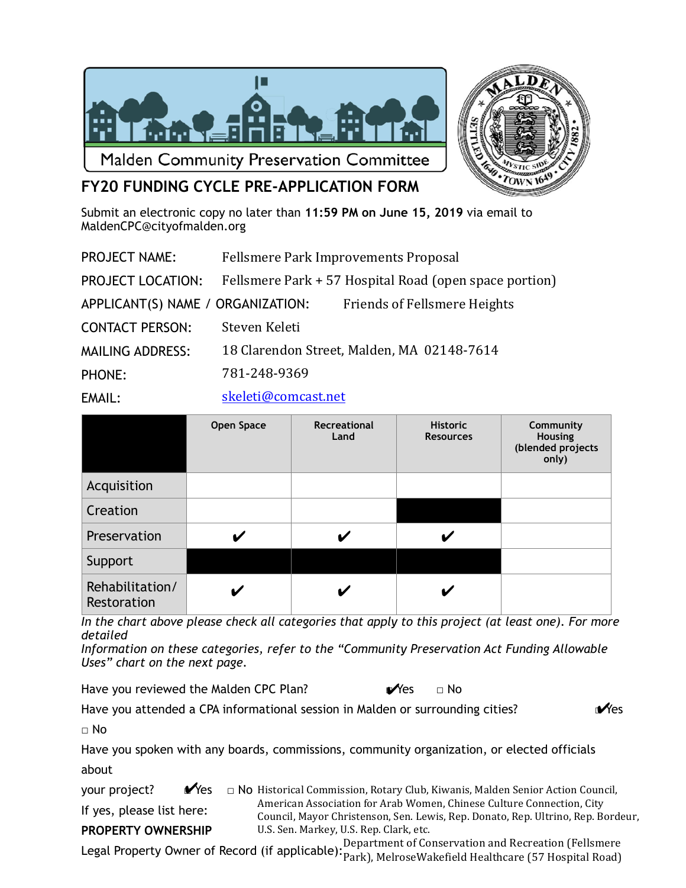



## **FY20 FUNDING CYCLE PRE-APPLICATION FORM**

Submit an electronic copy no later than **11:59 PM on June 15, 2019** via email to MaldenCPC@cityofmalden.org

| <b>PROJECT NAME:</b>              |                     | Fellsmere Park Improvements Proposal                   |
|-----------------------------------|---------------------|--------------------------------------------------------|
| <b>PROJECT LOCATION:</b>          |                     | Fellsmere Park + 57 Hospital Road (open space portion) |
| APPLICANT(S) NAME / ORGANIZATION: |                     | <b>Friends of Fellsmere Heights</b>                    |
| <b>CONTACT PERSON:</b>            | Steven Keleti       |                                                        |
| <b>MAILING ADDRESS:</b>           |                     | 18 Clarendon Street, Malden, MA 02148-7614             |
| <b>PHONE:</b>                     | 781-248-9369        |                                                        |
| EMAIL:                            | skeleti@comcast.net |                                                        |

|                                | <b>Open Space</b> | Recreational<br>Land | <b>Historic</b><br><b>Resources</b> | Community<br><b>Housing</b><br>(blended projects<br>only) |
|--------------------------------|-------------------|----------------------|-------------------------------------|-----------------------------------------------------------|
| Acquisition                    |                   |                      |                                     |                                                           |
| Creation                       |                   |                      |                                     |                                                           |
| Preservation                   |                   |                      |                                     |                                                           |
| Support                        |                   |                      |                                     |                                                           |
| Rehabilitation/<br>Restoration |                   |                      |                                     |                                                           |

*In the chart above please check all categories that apply to this project (at least one). For more detailed* 

*Information on these categories, refer to the "Community Preservation Act Funding Allowable Uses" chart on the next page.* 

Have you reviewed the Malden CPC Plan?  $\mathbb{V}$ es  $\Box$  No Yes

Have you attended a CPA informational session in Malden or surrounding cities?

**Y**es

□ No

Have you spoken with any boards, commissions, community organization, or elected officials about

your project?  $\blacksquare$  Yes If yes, please list here: **PROPERTY OWNERSHIP**   $\Box$  No Historical Commission, Rotary Club, Kiwanis, Malden Senior Action Council, American Association for Arab Women, Chinese Culture Connection, City Council, Mayor Christenson, Sen. Lewis, Rep. Donato, Rep. Ultrino, Rep. Bordeur, U.S. Sen. Markey, U.S. Rep. Clark, etc.

Legal Property Owner of Record (if applicable): Department of Conservation and Recreation (Fellsmere<br>Legal Property Owner of Record (if applicable): Park) MelrosoWakefield Healthcare (57 Hespital Read) Park), MelroseWakefield Healthcare (57 Hospital Road)